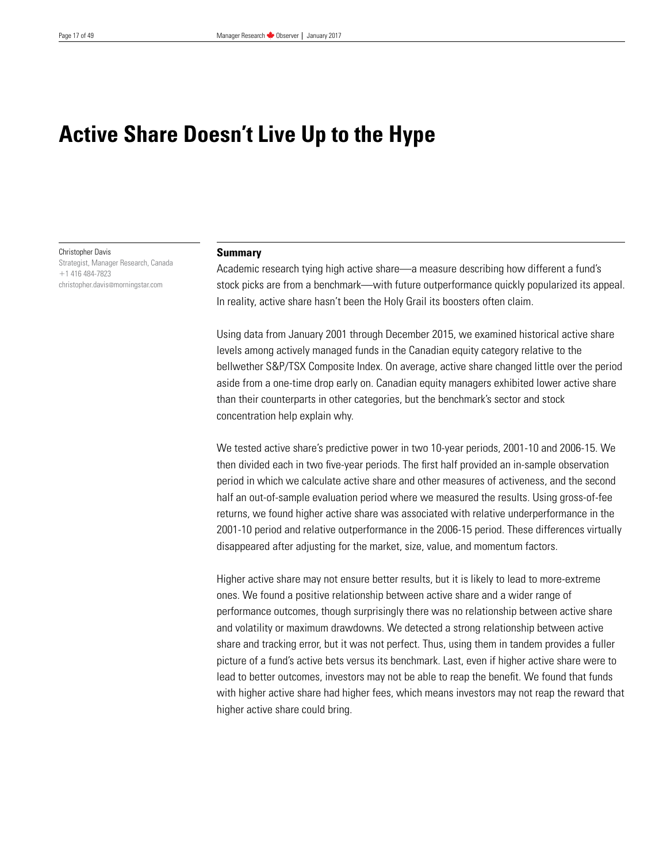# **Active Share Doesn't Live Up to the Hype**

Christopher Davis Strategist, Manager Research, Canada

+1 416 484-7823 christopher.davis@morningstar.com

#### **Summary**

Academic research tying high active share—a measure describing how different a fund's stock picks are from a benchmark—with future outperformance quickly popularized its appeal. In reality, active share hasn't been the Holy Grail its boosters often claim.

Using data from January 2001 through December 2015, we examined historical active share levels among actively managed funds in the Canadian equity category relative to the bellwether S&P/TSX Composite Index. On average, active share changed little over the period aside from a one-time drop early on. Canadian equity managers exhibited lower active share than their counterparts in other categories, but the benchmark's sector and stock concentration help explain why.

We tested active share's predictive power in two 10-year periods, 2001-10 and 2006-15. We then divided each in two five-year periods. The first half provided an in-sample observation period in which we calculate active share and other measures of activeness, and the second half an out-of-sample evaluation period where we measured the results. Using gross-of-fee returns, we found higher active share was associated with relative underperformance in the 2001-10 period and relative outperformance in the 2006-15 period. These differences virtually disappeared after adjusting for the market, size, value, and momentum factors.

Higher active share may not ensure better results, but it is likely to lead to more-extreme ones. We found a positive relationship between active share and a wider range of performance outcomes, though surprisingly there was no relationship between active share and volatility or maximum drawdowns. We detected a strong relationship between active share and tracking error, but it was not perfect. Thus, using them in tandem provides a fuller picture of a fund's active bets versus its benchmark. Last, even if higher active share were to lead to better outcomes, investors may not be able to reap the benefit. We found that funds with higher active share had higher fees, which means investors may not reap the reward that higher active share could bring.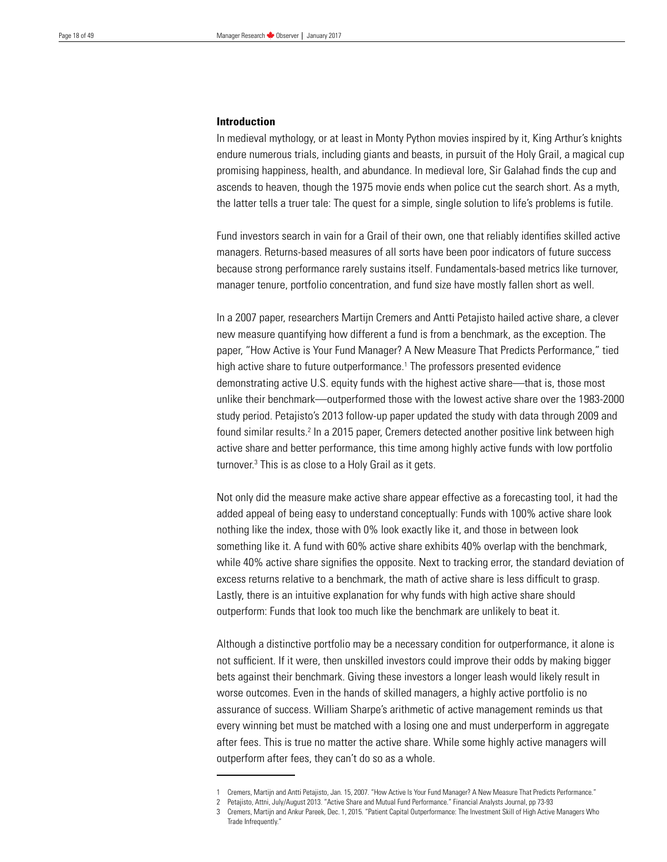## **Introduction**

In medieval mythology, or at least in Monty Python movies inspired by it, King Arthur's knights endure numerous trials, including giants and beasts, in pursuit of the Holy Grail, a magical cup promising happiness, health, and abundance. In medieval lore, Sir Galahad finds the cup and ascends to heaven, though the 1975 movie ends when police cut the search short. As a myth, the latter tells a truer tale: The quest for a simple, single solution to life's problems is futile.

Fund investors search in vain for a Grail of their own, one that reliably identifies skilled active managers. Returns-based measures of all sorts have been poor indicators of future success because strong performance rarely sustains itself. Fundamentals-based metrics like turnover, manager tenure, portfolio concentration, and fund size have mostly fallen short as well.

In a 2007 paper, researchers Martijn Cremers and Antti Petajisto hailed active share, a clever new measure quantifying how different a fund is from a benchmark, as the exception. The paper, "How Active is Your Fund Manager? A New Measure That Predicts Performance," tied high active share to future outperformance.<sup>1</sup> The professors presented evidence demonstrating active U.S. equity funds with the highest active share—that is, those most unlike their benchmark—outperformed those with the lowest active share over the 1983-2000 study period. Petajisto's 2013 follow-up paper updated the study with data through 2009 and found similar results.<sup>2</sup> In a 2015 paper, Cremers detected another positive link between high active share and better performance, this time among highly active funds with low portfolio turnover.3 This is as close to a Holy Grail as it gets.

Not only did the measure make active share appear effective as a forecasting tool, it had the added appeal of being easy to understand conceptually: Funds with 100% active share look nothing like the index, those with 0% look exactly like it, and those in between look something like it. A fund with 60% active share exhibits 40% overlap with the benchmark, while 40% active share signifies the opposite. Next to tracking error, the standard deviation of excess returns relative to a benchmark, the math of active share is less difficult to grasp. Lastly, there is an intuitive explanation for why funds with high active share should outperform: Funds that look too much like the benchmark are unlikely to beat it.

Although a distinctive portfolio may be a necessary condition for outperformance, it alone is not sufficient. If it were, then unskilled investors could improve their odds by making bigger bets against their benchmark. Giving these investors a longer leash would likely result in worse outcomes. Even in the hands of skilled managers, a highly active portfolio is no assurance of success. William Sharpe's arithmetic of active management reminds us that every winning bet must be matched with a losing one and must underperform in aggregate after fees. This is true no matter the active share. While some highly active managers will outperform after fees, they can't do so as a whole.

<sup>1</sup> Cremers, Martijn and Antti Petajisto, Jan. 15, 2007. "How Active Is Your Fund Manager? A New Measure That Predicts Performance."

<sup>2</sup> Petajisto, Attni, July/August 2013. "Active Share and Mutual Fund Performance." Financial Analysts Journal, pp 73-93

<sup>3</sup> Cremers, Martijn and Ankur Pareek, Dec. 1, 2015. "Patient Capital Outperformance: The Investment Skill of High Active Managers Who Trade Infrequently."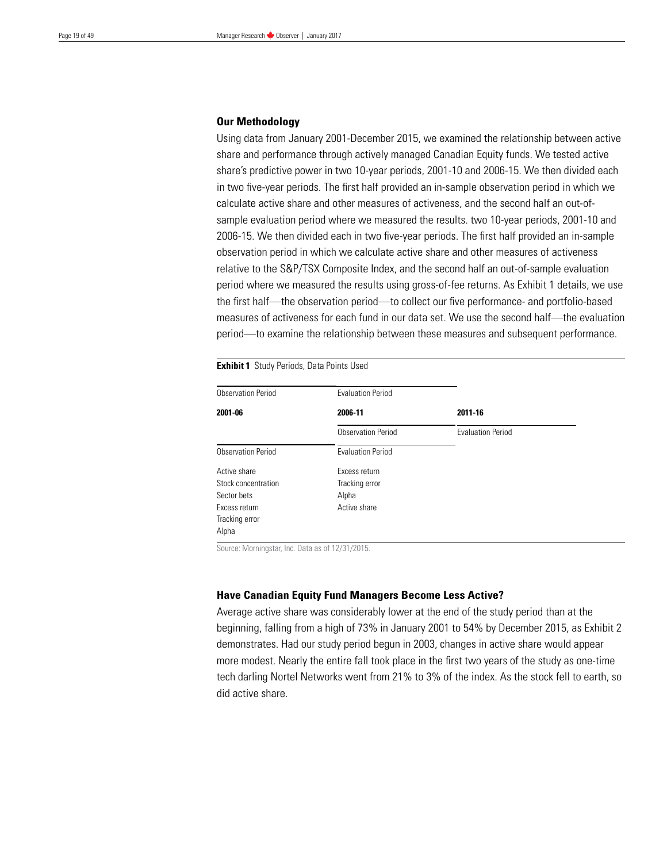# **Our Methodology**

Using data from January 2001-December 2015, we examined the relationship between active share and performance through actively managed Canadian Equity funds. We tested active share's predictive power in two 10-year periods, 2001-10 and 2006-15. We then divided each in two five-year periods. The first half provided an in-sample observation period in which we calculate active share and other measures of activeness, and the second half an out-ofsample evaluation period where we measured the results. two 10-year periods, 2001-10 and 2006-15. We then divided each in two five-year periods. The first half provided an in-sample observation period in which we calculate active share and other measures of activeness relative to the S&P/TSX Composite Index, and the second half an out-of-sample evaluation period where we measured the results using gross-of-fee returns. As Exhibit 1 details, we use the first half—the observation period—to collect our five performance- and portfolio-based measures of activeness for each fund in our data set. We use the second half—the evaluation period—to examine the relationship between these measures and subsequent performance.

# **Exhibit 1** Study Periods, Data Points Used

| <b>Observation Period</b> | <b>Evaluation Period</b>  |                          |  |  |
|---------------------------|---------------------------|--------------------------|--|--|
| 2001-06                   | 2006-11                   | 2011-16                  |  |  |
|                           | <b>Observation Period</b> | <b>Evaluation Period</b> |  |  |
| Observation Period        | <b>Evaluation Period</b>  |                          |  |  |
| Active share              | Excess return             |                          |  |  |
| Stock concentration       | Tracking error            |                          |  |  |
| Sector bets               | Alpha                     |                          |  |  |
| Excess return             | Active share              |                          |  |  |
| Tracking error            |                           |                          |  |  |
| Alpha                     |                           |                          |  |  |

Source: Morningstar, Inc. Data as of 12/31/2015.

# **Have Canadian Equity Fund Managers Become Less Active?**

Average active share was considerably lower at the end of the study period than at the beginning, falling from a high of 73% in January 2001 to 54% by December 2015, as Exhibit 2 demonstrates. Had our study period begun in 2003, changes in active share would appear more modest. Nearly the entire fall took place in the first two years of the study as one-time tech darling Nortel Networks went from 21% to 3% of the index. As the stock fell to earth, so did active share.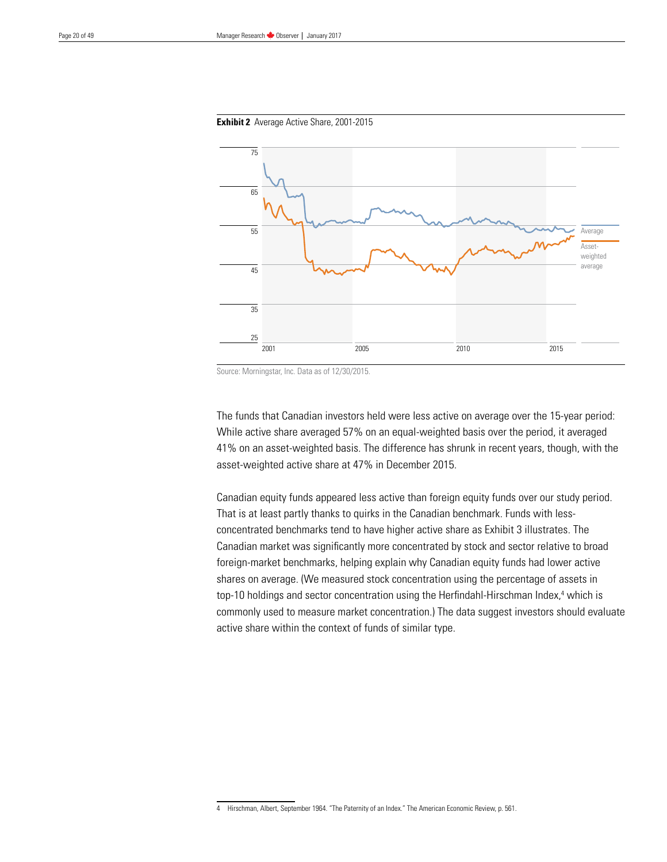

#### **Exhibit 2** Average Active Share, 2001-2015

Source: Morningstar, Inc. Data as of 12/30/2015.

The funds that Canadian investors held were less active on average over the 15-year period: While active share averaged 57% on an equal-weighted basis over the period, it averaged 41% on an asset-weighted basis. The difference has shrunk in recent years, though, with the asset-weighted active share at 47% in December 2015.

Canadian equity funds appeared less active than foreign equity funds over our study period. That is at least partly thanks to quirks in the Canadian benchmark. Funds with lessconcentrated benchmarks tend to have higher active share as Exhibit 3 illustrates. The Canadian market was significantly more concentrated by stock and sector relative to broad foreign-market benchmarks, helping explain why Canadian equity funds had lower active shares on average. (We measured stock concentration using the percentage of assets in top-10 holdings and sector concentration using the Herfindahl-Hirschman Index,<sup>4</sup> which is commonly used to measure market concentration.) The data suggest investors should evaluate active share within the context of funds of similar type.

<sup>4</sup> Hirschman, Albert, September 1964. "The Paternity of an Index." The American Economic Review, p. 561.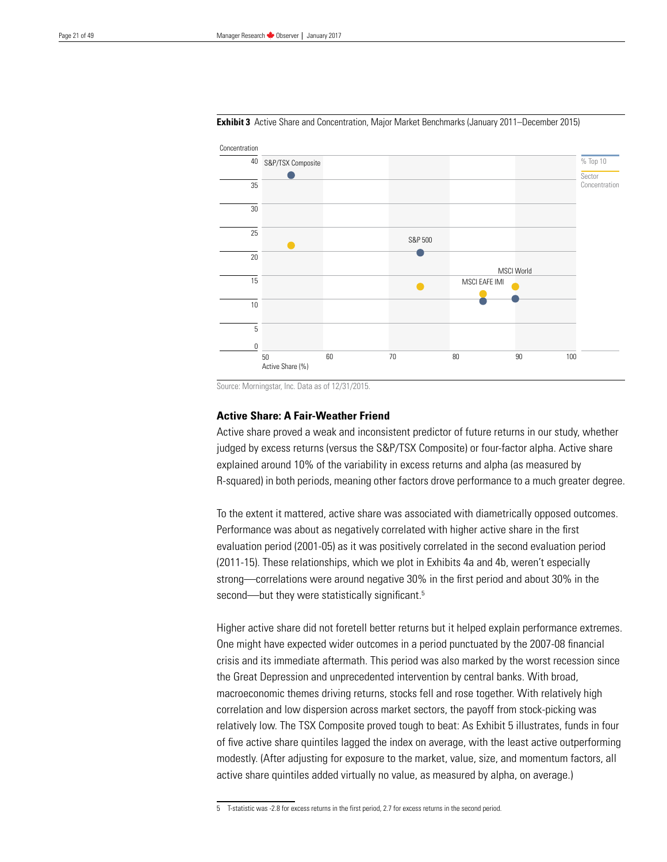

**Exhibit 3** Active Share and Concentration, Major Market Benchmarks (January 2011–December 2015)

Source: Morningstar, Inc. Data as of 12/31/2015.

## **Active Share: A Fair-Weather Friend**

Active share proved a weak and inconsistent predictor of future returns in our study, whether judged by excess returns (versus the S&P/TSX Composite) or four-factor alpha. Active share explained around 10% of the variability in excess returns and alpha (as measured by R-squared) in both periods, meaning other factors drove performance to a much greater degree.

To the extent it mattered, active share was associated with diametrically opposed outcomes. Performance was about as negatively correlated with higher active share in the first evaluation period (2001-05) as it was positively correlated in the second evaluation period (2011-15). These relationships, which we plot in Exhibits 4a and 4b, weren't especially strong—correlations were around negative 30% in the first period and about 30% in the second—but they were statistically significant.<sup>5</sup>

Higher active share did not foretell better returns but it helped explain performance extremes. One might have expected wider outcomes in a period punctuated by the 2007-08 financial crisis and its immediate aftermath. This period was also marked by the worst recession since the Great Depression and unprecedented intervention by central banks. With broad, macroeconomic themes driving returns, stocks fell and rose together. With relatively high correlation and low dispersion across market sectors, the payoff from stock-picking was relatively low. The TSX Composite proved tough to beat: As Exhibit 5 illustrates, funds in four of five active share quintiles lagged the index on average, with the least active outperforming modestly. (After adjusting for exposure to the market, value, size, and momentum factors, all active share quintiles added virtually no value, as measured by alpha, on average.)

<sup>5</sup> T-statistic was -2.8 for excess returns in the first period, 2.7 for excess returns in the second period.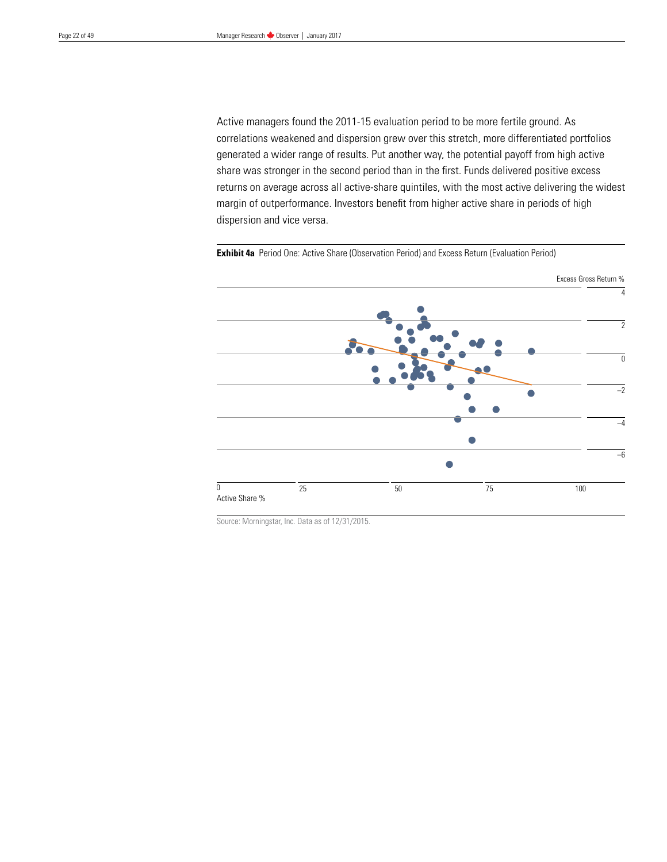Active managers found the 2011-15 evaluation period to be more fertile ground. As correlations weakened and dispersion grew over this stretch, more differentiated portfolios generated a wider range of results. Put another way, the potential payoff from high active share was stronger in the second period than in the first. Funds delivered positive excess returns on average across all active-share quintiles, with the most active delivering the widest margin of outperformance. Investors benefit from higher active share in periods of high dispersion and vice versa.



**Exhibit 4a** Period One: Active Share (Observation Period) and Excess Return (Evaluation Period)

Source: Morningstar, Inc. Data as of 12/31/2015.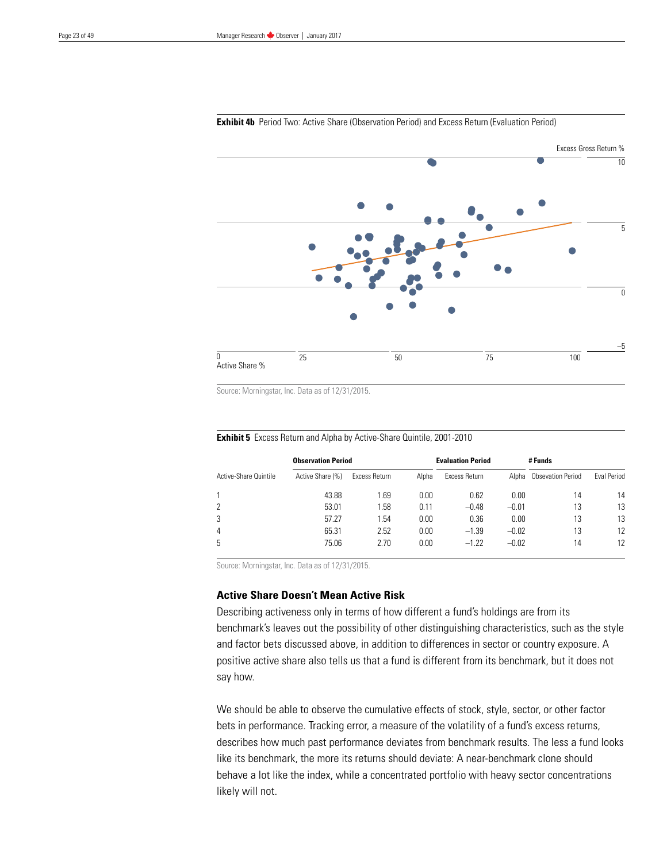

#### **Exhibit 4b** Period Two: Active Share (Observation Period) and Excess Return (Evaluation Period)

Source: Morningstar, Inc. Data as of 12/31/2015.

| <b>Observation Period</b> |                  |                      |       | <b>Evaluation Period</b> |         | # Funds                  |             |
|---------------------------|------------------|----------------------|-------|--------------------------|---------|--------------------------|-------------|
| Active-Share Quintile     | Active Share (%) | <b>Excess Return</b> | Alpha | Excess Return            | Alpha   | <b>Obsevation Period</b> | Eval Period |
|                           | 43.88            | 1.69                 | 0.00  | 0.62                     | 0.00    | 14                       | 14          |
| 2                         | 53.01            | 1.58                 | 0.11  | $-0.48$                  | $-0.01$ | 13                       | 13          |
| 3                         | 57.27            | 1.54                 | 0.00  | 0.36                     | 0.00    | 13                       | 13          |
| 4                         | 65.31            | 2.52                 | 0.00  | $-1.39$                  | $-0.02$ | 13                       | 12          |
| 5                         | 75.06            | 2.70                 | 0.00  | $-1.22$                  | $-0.02$ | 14                       | 12          |

## **Exhibit 5** Excess Return and Alpha by Active-Share Quintile, 2001-2010

Source: Morningstar, Inc. Data as of 12/31/2015.

## **Active Share Doesn't Mean Active Risk**

Describing activeness only in terms of how different a fund's holdings are from its benchmark's leaves out the possibility of other distinguishing characteristics, such as the style and factor bets discussed above, in addition to differences in sector or country exposure. A positive active share also tells us that a fund is different from its benchmark, but it does not say how.

We should be able to observe the cumulative effects of stock, style, sector, or other factor bets in performance. Tracking error, a measure of the volatility of a fund's excess returns, describes how much past performance deviates from benchmark results. The less a fund looks like its benchmark, the more its returns should deviate: A near-benchmark clone should behave a lot like the index, while a concentrated portfolio with heavy sector concentrations likely will not.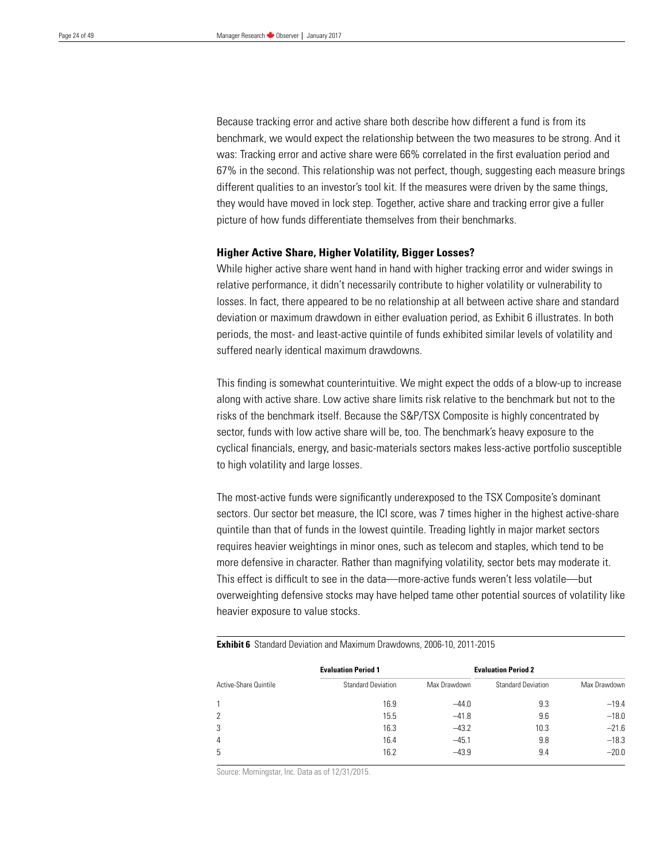Because tracking error and active share both describe how different a fund is from its benchmark, we would expect the relationship between the two measures to be strong. And it was: Tracking error and active share were 66% correlated in the first evaluation period and 67% in the second. This relationship was not perfect, though, suggesting each measure brings different qualities to an investor's tool kit. If the measures were driven by the same things, they would have moved in lock step. Together, active share and tracking error give a fuller picture of how funds differentiate themselves from their benchmarks.

# **Higher Active Share, Higher Volatility, Bigger Losses?**

While higher active share went hand in hand with higher tracking error and wider swings in relative performance, it didn't necessarily contribute to higher volatility or vulnerability to losses. In fact, there appeared to be no relationship at all between active share and standard deviation or maximum drawdown in either evaluation period, as Exhibit 6 illustrates. In both periods, the most- and least-active quintile of funds exhibited similar levels of volatility and suffered nearly identical maximum drawdowns.

This finding is somewhat counterintuitive. We might expect the odds of a blow-up to increase along with active share. Low active share limits risk relative to the benchmark but not to the risks of the benchmark itself. Because the S&P/TSX Composite is highly concentrated by sector, funds with low active share will be, too. The benchmark's heavy exposure to the cyclical financials, energy, and basic-materials sectors makes less-active portfolio susceptible to high volatility and large losses.

The most-active funds were significantly underexposed to the TSX Composite's dominant sectors. Our sector bet measure, the ICI score, was 7 times higher in the highest active-share quintile than that of funds in the lowest quintile. Treading lightly in major market sectors requires heavier weightings in minor ones, such as telecom and staples, which tend to be more defensive in character. Rather than magnifying volatility, sector bets may moderate it. This effect is difficult to see in the data—more-active funds weren't less volatile—but overweighting defensive stocks may have helped tame other potential sources of volatility like heavier exposure to value stocks.

**Exhibit 6** Standard Deviation and Maximum Drawdowns, 2006-10, 2011-2015

|                       | <b>Evaluation Period 1</b> |              | <b>Evaluation Period 2</b> |              |  |
|-----------------------|----------------------------|--------------|----------------------------|--------------|--|
| Active-Share Quintile | <b>Standard Deviation</b>  | Max Drawdown | <b>Standard Deviation</b>  | Max Drawdown |  |
|                       | 16.9                       | $-44.0$      | 9.3                        | $-19.4$      |  |
|                       | 15.5                       | $-41.8$      | 9.6                        | $-18.0$      |  |
| 3                     | 16.3                       | $-43.2$      | 10.3                       | $-21.6$      |  |
| 4                     | 16.4                       | $-45.1$      | 9.8                        | $-18.3$      |  |
| 5                     | 16.2                       | $-43.9$      | 9.4                        | $-20.0$      |  |

Source: Morningstar, Inc. Data as of 12/31/2015.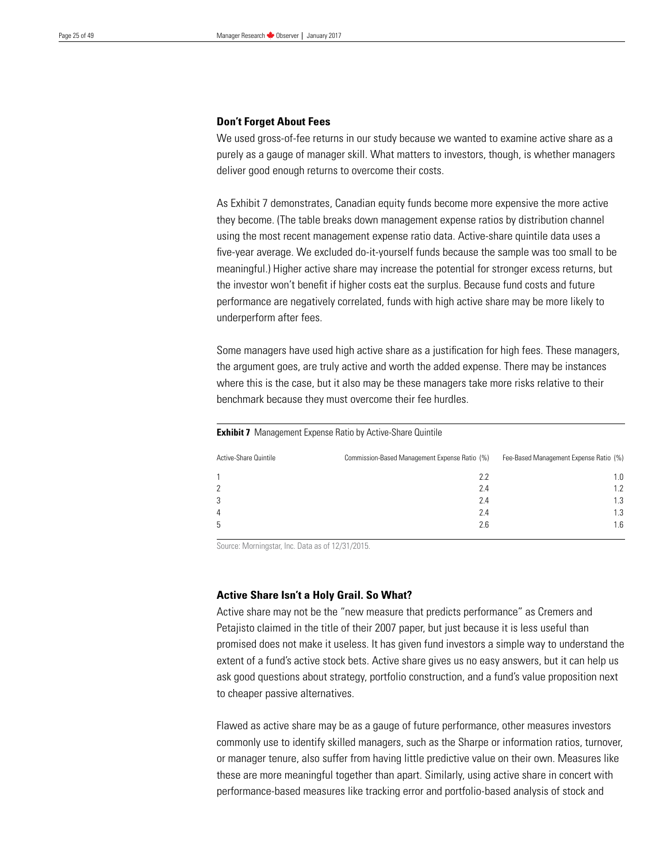## **Don't Forget About Fees**

We used gross-of-fee returns in our study because we wanted to examine active share as a purely as a gauge of manager skill. What matters to investors, though, is whether managers deliver good enough returns to overcome their costs.

As Exhibit 7 demonstrates, Canadian equity funds become more expensive the more active they become. (The table breaks down management expense ratios by distribution channel using the most recent management expense ratio data. Active-share quintile data uses a five-year average. We excluded do-it-yourself funds because the sample was too small to be meaningful.) Higher active share may increase the potential for stronger excess returns, but the investor won't benefit if higher costs eat the surplus. Because fund costs and future performance are negatively correlated, funds with high active share may be more likely to underperform after fees.

Some managers have used high active share as a justification for high fees. These managers, the argument goes, are truly active and worth the added expense. There may be instances where this is the case, but it also may be these managers take more risks relative to their benchmark because they must overcome their fee hurdles.

#### **Exhibit 7** Management Expense Ratio by Active-Share Quintile

| Active-Share Quintile | Commission-Based Management Expense Ratio (%) | Fee-Based Management Expense Ratio (%) |
|-----------------------|-----------------------------------------------|----------------------------------------|
|                       | 2.2                                           | 1.0                                    |
|                       | 2.4                                           | $1.2^{\circ}$                          |
|                       | 2.4                                           | 1.3                                    |
|                       | 2.4                                           | 1.3                                    |
|                       | 2.6                                           | 1.6                                    |
|                       |                                               |                                        |

Source: Morningstar, Inc. Data as of 12/31/2015.

# **Active Share Isn't a Holy Grail. So What?**

Active share may not be the "new measure that predicts performance" as Cremers and Petajisto claimed in the title of their 2007 paper, but just because it is less useful than promised does not make it useless. It has given fund investors a simple way to understand the extent of a fund's active stock bets. Active share gives us no easy answers, but it can help us ask good questions about strategy, portfolio construction, and a fund's value proposition next to cheaper passive alternatives.

Flawed as active share may be as a gauge of future performance, other measures investors commonly use to identify skilled managers, such as the Sharpe or information ratios, turnover, or manager tenure, also suffer from having little predictive value on their own. Measures like these are more meaningful together than apart. Similarly, using active share in concert with performance-based measures like tracking error and portfolio-based analysis of stock and